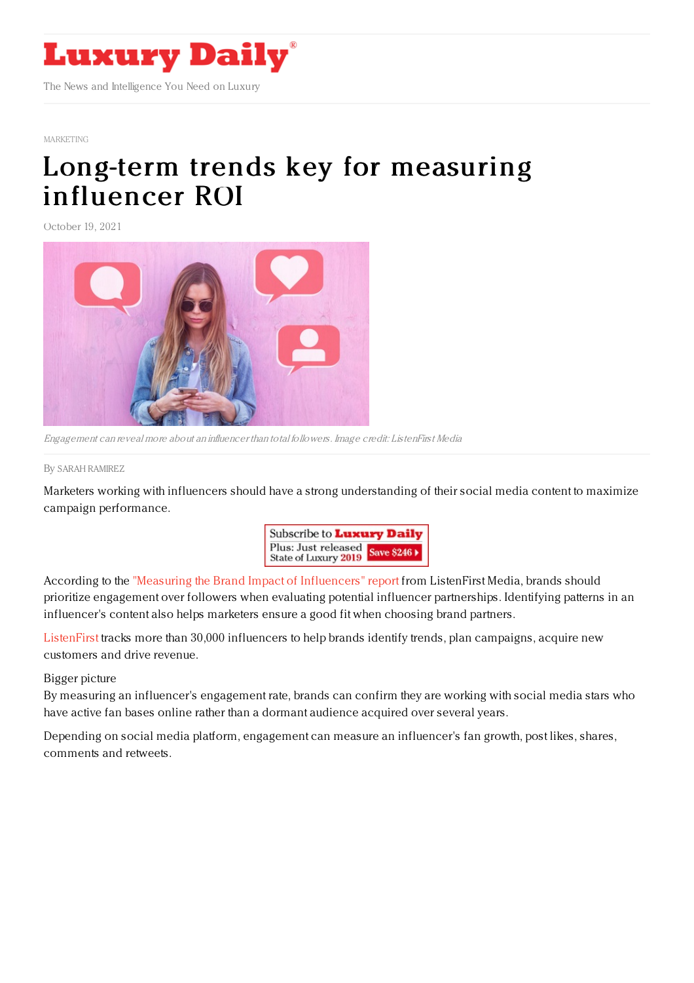

## [MARKETING](https://www.luxurydaily.com/category/sectors/marketing-industry-sectors/)

## Long-term trends key for [measuring](https://www.luxurydaily.com/?p=338777) influencer ROI

October 19, 2021



Engagement can reveal more about an influencer than total followers. Image credit: ListenFirst Media

## By SARAH [RAMIREZ](file:///author/sarah-ramirez)

Marketers working with influencers should have a strong understanding of their social media content to maximize campaign performance.



According to the "Measuring the Brand Impact of [Influencers"](https://www.listenfirstmedia.com/measuring-the-brand-impact-of-influencers/) report from ListenFirst Media, brands should prioritize engagement over followers when evaluating potential influencer partnerships. Identifying patterns in an influencer's content also helps marketers ensure a good fit when choosing brand partners.

[ListenFirst](https://www.listenfirstmedia.com/) tracks more than 30,000 influencers to help brands identify trends, plan campaigns, acquire new customers and drive revenue.

Bigger picture

By measuring an influencer's engagement rate, brands can confirm they are working with social media stars who have active fan bases online rather than a dormant audience acquired over several years.

Depending on social media platform, engagement can measure an influencer's fan growth, post likes, shares, comments and retweets.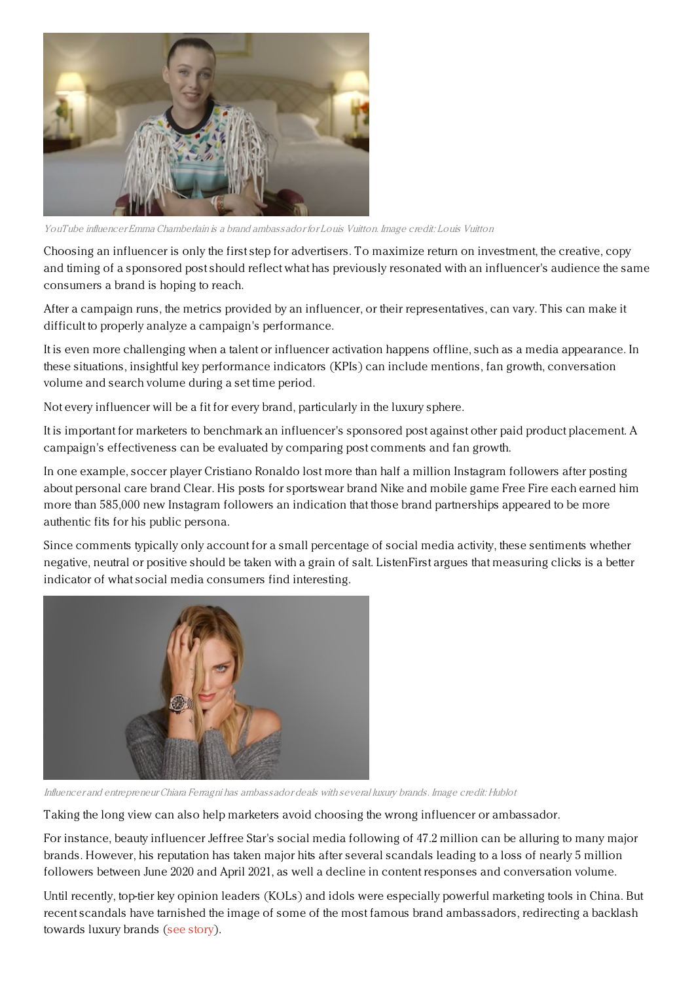

YouTube influencer Emma Chamberlain is <sup>a</sup> brand ambassador for Louis Vuitton. Image credit: Louis Vuitton

Choosing an influencer is only the first step for advertisers. To maximize return on investment, the creative, copy and timing of a sponsored post should reflect what has previously resonated with an influencer's audience the same consumers a brand is hoping to reach.

After a campaign runs, the metrics provided by an influencer, or their representatives, can vary. This can make it difficult to properly analyze a campaign's performance.

It is even more challenging when a talent or influencer activation happens offline, such as a media appearance. In these situations, insightful key performance indicators (KPIs) can include mentions, fan growth, conversation volume and search volume during a set time period.

Not every influencer will be a fit for every brand, particularly in the luxury sphere.

It is important for marketers to benchmark an influencer's sponsored post against other paid product placement. A campaign's effectiveness can be evaluated by comparing post comments and fan growth.

In one example, soccer player Cristiano Ronaldo lost more than half a million Instagram followers after posting about personal care brand Clear. His posts for sportswear brand Nike and mobile game Free Fire each earned him more than 585,000 new Instagram followers an indication that those brand partnerships appeared to be more authentic fits for his public persona.

Since comments typically only account for a small percentage of social media activity, these sentiments whether negative, neutral or positive should be taken with a grain of salt. ListenFirst argues that measuring clicks is a better indicator of what social media consumers find interesting.



Influencer and entrepreneur Chiara Ferragni has ambassador deals with several luxury brands. Image credit: Hublot

Taking the long view can also help marketers avoid choosing the wrong influencer or ambassador.

For instance, beauty influencer Jeffree Star's social media following of 47.2 million can be alluring to many major brands. However, his reputation has taken major hits after several scandals leading to a loss of nearly 5 million followers between June 2020 and April 2021, as well a decline in content responses and conversation volume.

Until recently, top-tier key opinion leaders (KOLs) and idols were especially powerful marketing tools in China. But recent scandals have tarnished the image of some of the most famous brand ambassadors, redirecting a backlash towards luxury brands (see [story](https://www.luxurydaily.com/with-kris-wu-and-other-idols-tainted-what-is-luxurys-next-china-strategy/)).